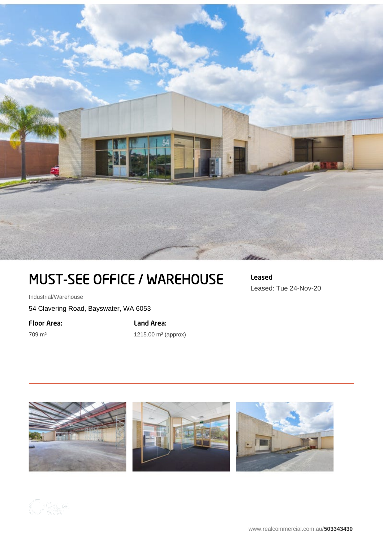

## MUST-SEE OFFICE / WAREHOUSE

Industrial/Warehouse

54 Clavering Road, Bayswater, WA 6053

Floor Area:

709 m²

Land Area: 1215.00 m² (approx) Leased Leased: Tue 24-Nov-20